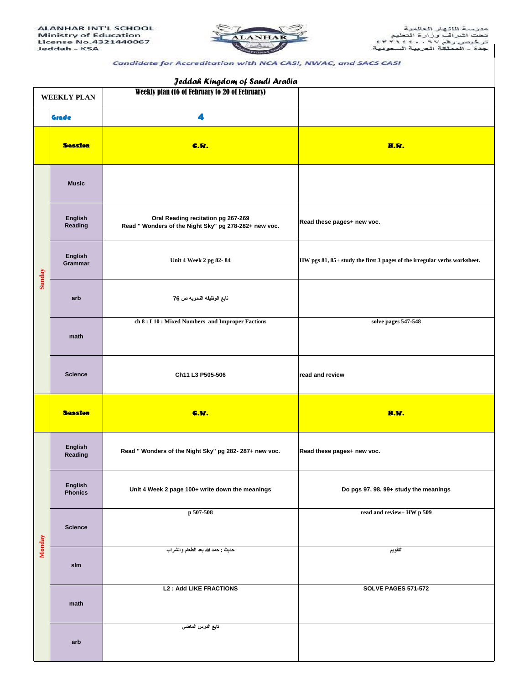

## Candidate for Accreditation with NCA CASI, NWAC, and SACS CASI

| Jeddah Kingdom of Saudi Arabia |                           |                                                                                             |                                                                          |  |  |  |
|--------------------------------|---------------------------|---------------------------------------------------------------------------------------------|--------------------------------------------------------------------------|--|--|--|
| <b>WEEKLY PLAN</b>             |                           | Weekly plan (16 of February to 20 of February)                                              |                                                                          |  |  |  |
| Grade                          |                           | 4                                                                                           |                                                                          |  |  |  |
|                                | <b>Session</b>            | <b>C.W.</b>                                                                                 | H.W.                                                                     |  |  |  |
| Sunday                         | <b>Music</b>              |                                                                                             |                                                                          |  |  |  |
|                                | <b>English</b><br>Reading | Oral Reading recitation pg 267-269<br>Read " Wonders of the Night Sky" pg 278-282+ new voc. | Read these pages+ new voc.                                               |  |  |  |
|                                | English<br>Grammar        | Unit 4 Week 2 pg 82-84                                                                      | HW pgs 81, 85+ study the first 3 pages of the irregular verbs worksheet. |  |  |  |
|                                | arb                       | تابع الوظيفه النحويه ص 76                                                                   |                                                                          |  |  |  |
|                                | math                      | ch 8 : L10 : Mixed Numbers and Improper Factions                                            | solve pages 547-548                                                      |  |  |  |
|                                | <b>Science</b>            | Ch11 L3 P505-506                                                                            | read and review                                                          |  |  |  |
|                                | <b>Session</b>            | <b>C.M.</b>                                                                                 | H.W.                                                                     |  |  |  |
|                                | <b>English</b><br>Reading | Read " Wonders of the Night Sky" pg 282-287+ new voc.                                       | Read these pages+ new voc.                                               |  |  |  |
|                                | English<br><b>Phonics</b> | Unit 4 Week 2 page 100+ write down the meanings                                             | Do pgs 97, 98, 99+ study the meanings                                    |  |  |  |
|                                | <b>Science</b>            | p 507-508                                                                                   | read and review+ HW p 509                                                |  |  |  |
| Monday                         | slm                       | حديث : حمد الله بعد الطعام والشراب                                                          | التقويم                                                                  |  |  |  |
|                                | math                      | <b>L2: Add LIKE FRACTIONS</b>                                                               | <b>SOLVE PAGES 571-572</b>                                               |  |  |  |
|                                | arb                       | تابع الدرس الماضي                                                                           |                                                                          |  |  |  |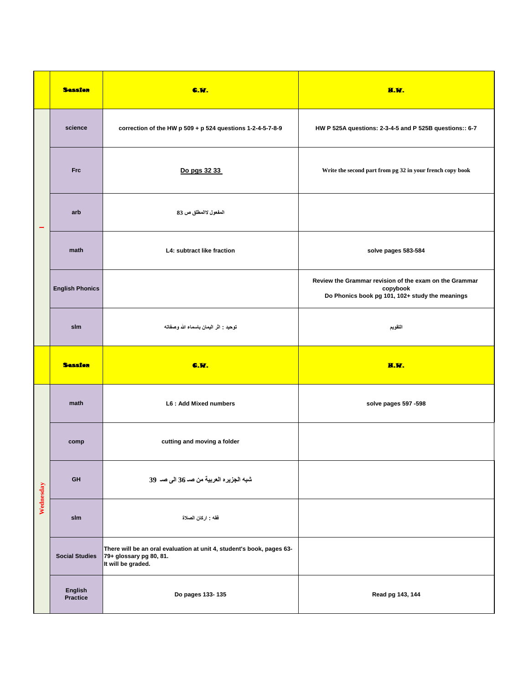|           | <b>Session</b>         | <b>C.W.</b>                                                                                                            | H.W.                                                                                                                  |
|-----------|------------------------|------------------------------------------------------------------------------------------------------------------------|-----------------------------------------------------------------------------------------------------------------------|
|           | science                | correction of the HW p 509 + p 524 questions 1-2-4-5-7-8-9                                                             | HW P 525A questions: 2-3-4-5 and P 525B questions:: 6-7                                                               |
|           | <b>Frc</b>             | Do pgs 32 33                                                                                                           | Write the second part from pg 32 in your french copy book                                                             |
|           | arb                    | المفعول لاالمطلق ص 83                                                                                                  |                                                                                                                       |
|           | math                   | L4: subtract like fraction                                                                                             | solve pages 583-584                                                                                                   |
|           | <b>English Phonics</b> |                                                                                                                        | Review the Grammar revision of the exam on the Grammar<br>copybook<br>Do Phonics book pg 101, 102+ study the meanings |
|           | slm                    | توحيد : اثر اليمان باسماء الله وصفاته                                                                                  | التقويم                                                                                                               |
|           | <b>Session</b>         | <b>C.W.</b>                                                                                                            | H.W.                                                                                                                  |
| Wednesday | math                   | L6: Add Mixed numbers                                                                                                  | solve pages 597 -598                                                                                                  |
|           | comp                   | cutting and moving a folder                                                                                            |                                                                                                                       |
|           | GH                     | شبه الجزيره العربية من صـ 36 الى صـ 39                                                                                 |                                                                                                                       |
|           | slm                    | فقه : اركان الصلاة                                                                                                     |                                                                                                                       |
|           | <b>Social Studies</b>  | There will be an oral evaluation at unit 4, student's book, pages 63-<br>79+ glossary pg 80, 81.<br>It will be graded. |                                                                                                                       |
|           | English<br>Practice    | Do pages 133-135                                                                                                       | Read pg 143, 144                                                                                                      |